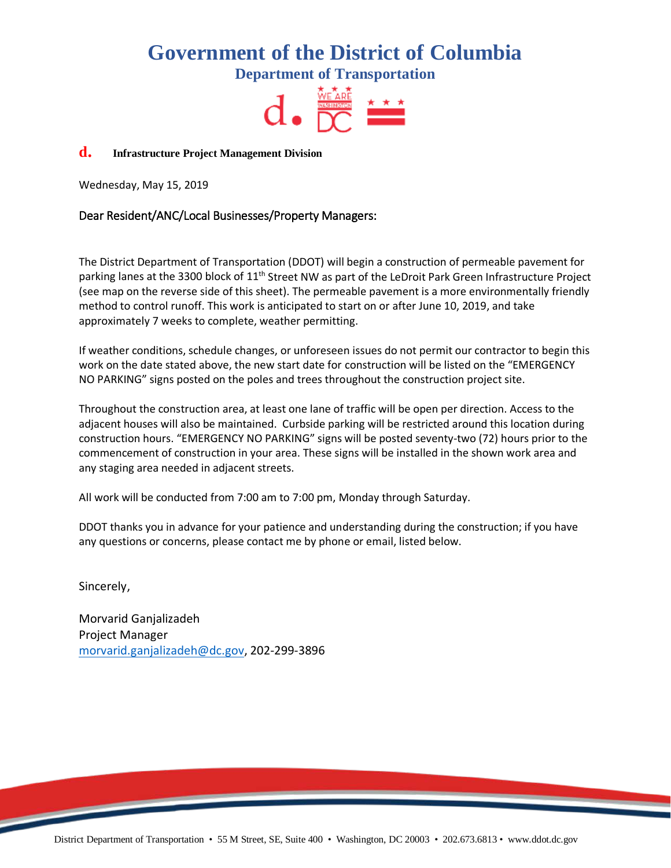## **Government of the District of Columbia**

**Department of Transportation**



## **<sup>d</sup>**. **Infrastructure Project Management Division**

Wednesday, May 15, 2019

## Dear Resident/ANC/Local Businesses/Property Managers:

The District Department of Transportation (DDOT) will begin a construction of permeable pavement for parking lanes at the 3300 block of 11<sup>th</sup> Street NW as part of the LeDroit Park Green Infrastructure Project (see map on the reverse side of this sheet). The permeable pavement is a more environmentally friendly method to control runoff. This work is anticipated to start on or after June 10, 2019, and take approximately 7 weeks to complete, weather permitting.

If weather conditions, schedule changes, or unforeseen issues do not permit our contractor to begin this work on the date stated above, the new start date for construction will be listed on the "EMERGENCY NO PARKING" signs posted on the poles and trees throughout the construction project site.

Throughout the construction area, at least one lane of traffic will be open per direction. Access to the adjacent houses will also be maintained. Curbside parking will be restricted around this location during construction hours. "EMERGENCY NO PARKING" signs will be posted seventy-two (72) hours prior to the commencement of construction in your area. These signs will be installed in the shown work area and any staging area needed in adjacent streets.

All work will be conducted from 7:00 am to 7:00 pm, Monday through Saturday.

DDOT thanks you in advance for your patience and understanding during the construction; if you have any questions or concerns, please contact me by phone or email, listed below.

Sincerely,

Morvarid Ganjalizadeh Project Manager [morvarid.ganjalizadeh@dc.gov,](mailto:morvarid.ganjalizadeh@dc.gov) 202-299-3896